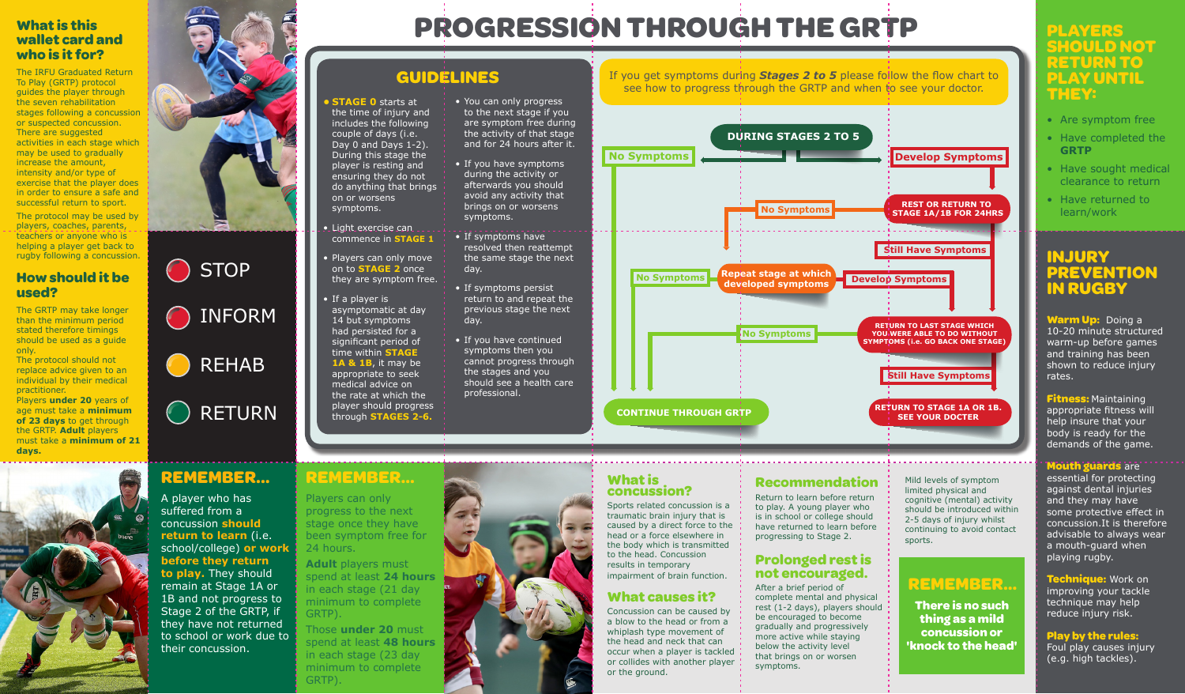#### **INJURY PREVENTION IN RUGBY**

**Warm Up::** Doing a 10-20 minute structured warm-up before games and training has been shown to reduce injury rates.

**Fitness:** Maintaining appropriate fitness will help insure that your body is ready for the demands of the game.

#### **Mouth guards** are

essential for protecting against dental injuries and they may have some protective effect in concussion.It is therefore advisable to always wear a mouth-guard when playing rugby.

**Technique:** Work on improving your tackle technique may help reduce injury risk.

**Play by the rules:**  Foul play causes injury (e.g. high tackles).

#### **What is this wallet card and who is it for?**

The IRFU Graduated Return To Play (GRTP) protocol guides the player through the seven rehabilitation stages following a concussion or suspected concussion. There are suggested activities in each stage which may be used to gradually increase the amount, intensity and/or type of exercise that the player does in order to ensure a safe and successful return to sport. The protocol may be used by players, coaches, parents, teachers or anyone who is helping a player get back to rugby following a concussion.

#### **How should it be used?**

The GRTP may take longer than the minimum period stated therefore timings should be used as a guide only.

The protocol should not replace advice given to an individual by their medical practitioner.

Players **under 20** years of age must take a **minimum of 23 days** to get through the GRTP. **Adult** players must take a **minimum of 21 days.**





#### **What is concussion?**

Sports related concussion is a traumatic brain injury that is caused by a direct force to the head or a force elsewhere in the body which is transmitted to the head. Concussion results in temporary impairment of brain function.

#### **What causes it?**

Concussion can be caused by a blow to the head or from a whiplash type movement of the head and neck that can occur when a player is tackled or collides with another player or the ground.

#### **Recommendation**

Return to learn before return to play. A young player who is in school or college should have returned to learn before progressing to Stage 2.

#### **Prolonged rest is not encouraged.**

## INFORM **STOP**



After a brief period of complete mental and physical rest (1-2 days), players should be encouraged to become gradually and progressively more active while staying below the activity level that brings on or worsen symptoms.

### **REMEMBER...**

Players can only progress to the next stage once they have been symptom free for 24 hours.

**Adult** players must spend at least **24 hours** in each stage (21 day minimum to complete GRTP).

Those **under 20** must spend at least **48 hours** in each stage (23 day minimum to complete GRTP).



#### **REMEMBER...**

A player who has suffered from a concussion **should return to learn** (i.e. school/college) **or work before they return to play.** They should remain at Stage 1A or 1B and not progress to Stage 2 of the GRTP, if they have not returned to school or work due to their concussion.

Mild levels of symptom limited physical and cognitive (mental) activity should be introduced within 2-5 days of injury whilst continuing to avoid contact

sports.

# **PROGRESSION THROUGH THE GRTP**

#### **• STAGE 0** starts at

the time of injury and includes the following couple of days (i.e. Day 0 and Days 1-2). During this stage the player is resting and ensuring they do not do anything that brings on or worsens symptoms.

- Light exercise can commence in **STAGE 1**
- Players can only move on to **STAGE 2** once they are symptom free.
- If a player is asymptomatic at day 14 but symptoms had persisted for a significant period of time within **STAGE 1A & 1B**, it may be appropriate to seek medical advice on the rate at which the player should progress through **STAGES 2-6.**
- You can only progress to the next stage if you are symptom free during the activity of that stage and for 24 hours after it.
- If you have symptoms during the activity or afterwards you should avoid any activity that brings on or worsens symptoms.
- If symptoms have resolved then reattempt the same stage the next day.
- If symptoms persist return to and repeat the previous stage the next day.
- If you have continued symptoms then you cannot progress through the stages and you should see a health care professional.

#### **GUIDELINES**

#### **PLAYERS SHOULD NOT RETURN TO PLAY UNTIL THEY:**

- Are symptom free
- Have completed the **GRTP**
- Have sought medical clearance to return
- Have returned to learn/work

#### **REMEMBER...**

**There is no such thing as a mild concussion or 'knock to the head'**

![](_page_0_Picture_9.jpeg)

![](_page_0_Picture_10.jpeg)